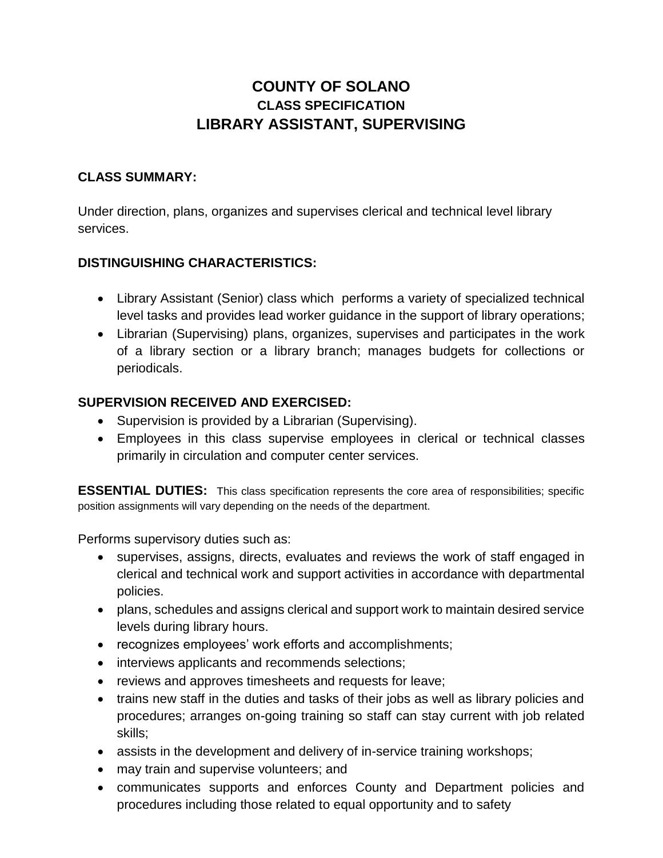# **COUNTY OF SOLANO CLASS SPECIFICATION LIBRARY ASSISTANT, SUPERVISING**

### **CLASS SUMMARY:**

Under direction, plans, organizes and supervises clerical and technical level library services.

#### **DISTINGUISHING CHARACTERISTICS:**

- Library Assistant (Senior) class which performs a variety of specialized technical level tasks and provides lead worker guidance in the support of library operations;
- Librarian (Supervising) plans, organizes, supervises and participates in the work of a library section or a library branch; manages budgets for collections or periodicals.

#### **SUPERVISION RECEIVED AND EXERCISED:**

- Supervision is provided by a Librarian (Supervising).
- Employees in this class supervise employees in clerical or technical classes primarily in circulation and computer center services.

**ESSENTIAL DUTIES:** This class specification represents the core area of responsibilities; specific position assignments will vary depending on the needs of the department.

Performs supervisory duties such as:

- supervises, assigns, directs, evaluates and reviews the work of staff engaged in clerical and technical work and support activities in accordance with departmental policies.
- plans, schedules and assigns clerical and support work to maintain desired service levels during library hours.
- recognizes employees' work efforts and accomplishments;
- interviews applicants and recommends selections;
- reviews and approves timesheets and requests for leave;
- trains new staff in the duties and tasks of their jobs as well as library policies and procedures; arranges on-going training so staff can stay current with job related skills;
- assists in the development and delivery of in-service training workshops;
- may train and supervise volunteers; and
- communicates supports and enforces County and Department policies and procedures including those related to equal opportunity and to safety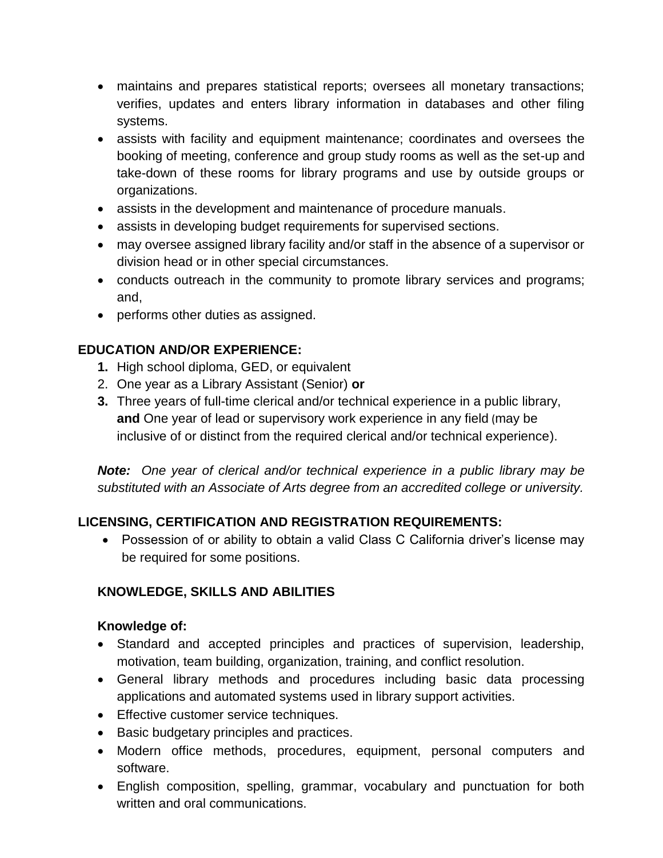- maintains and prepares statistical reports; oversees all monetary transactions; verifies, updates and enters library information in databases and other filing systems.
- assists with facility and equipment maintenance; coordinates and oversees the booking of meeting, conference and group study rooms as well as the set-up and take-down of these rooms for library programs and use by outside groups or organizations.
- assists in the development and maintenance of procedure manuals.
- assists in developing budget requirements for supervised sections.
- may oversee assigned library facility and/or staff in the absence of a supervisor or division head or in other special circumstances.
- conducts outreach in the community to promote library services and programs; and,
- performs other duties as assigned.

## **EDUCATION AND/OR EXPERIENCE:**

- **1.** High school diploma, GED, or equivalent
- 2. One year as a Library Assistant (Senior) **or**
- **3.** Three years of full-time clerical and/or technical experience in a public library, **and** One year of lead or supervisory work experience in any field (may be inclusive of or distinct from the required clerical and/or technical experience).

*Note: One year of clerical and/or technical experience in a public library may be substituted with an Associate of Arts degree from an accredited college or university.*

# **LICENSING, CERTIFICATION AND REGISTRATION REQUIREMENTS:**

 Possession of or ability to obtain a valid Class C California driver's license may be required for some positions.

# **KNOWLEDGE, SKILLS AND ABILITIES**

### **Knowledge of:**

- Standard and accepted principles and practices of supervision, leadership, motivation, team building, organization, training, and conflict resolution.
- General library methods and procedures including basic data processing applications and automated systems used in library support activities.
- **Effective customer service techniques.**
- Basic budgetary principles and practices.
- Modern office methods, procedures, equipment, personal computers and software.
- English composition, spelling, grammar, vocabulary and punctuation for both written and oral communications.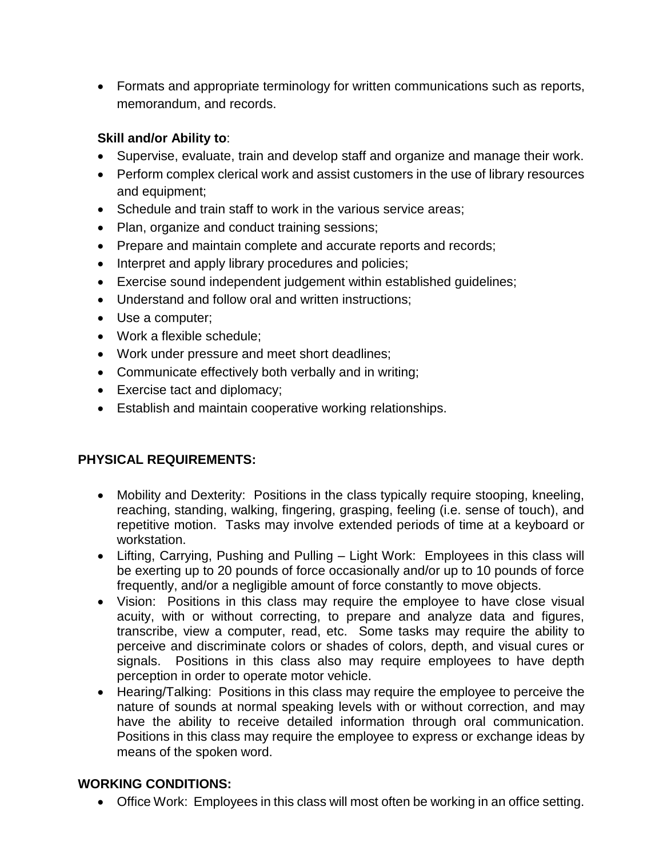Formats and appropriate terminology for written communications such as reports, memorandum, and records.

## **Skill and/or Ability to**:

- Supervise, evaluate, train and develop staff and organize and manage their work.
- Perform complex clerical work and assist customers in the use of library resources and equipment;
- Schedule and train staff to work in the various service areas;
- Plan, organize and conduct training sessions;
- Prepare and maintain complete and accurate reports and records;
- Interpret and apply library procedures and policies;
- Exercise sound independent judgement within established guidelines;
- Understand and follow oral and written instructions;
- Use a computer;
- Work a flexible schedule:
- Work under pressure and meet short deadlines;
- Communicate effectively both verbally and in writing;
- Exercise tact and diplomacy;
- Establish and maintain cooperative working relationships.

# **PHYSICAL REQUIREMENTS:**

- Mobility and Dexterity: Positions in the class typically require stooping, kneeling, reaching, standing, walking, fingering, grasping, feeling (i.e. sense of touch), and repetitive motion. Tasks may involve extended periods of time at a keyboard or workstation.
- Lifting, Carrying, Pushing and Pulling Light Work: Employees in this class will be exerting up to 20 pounds of force occasionally and/or up to 10 pounds of force frequently, and/or a negligible amount of force constantly to move objects.
- Vision: Positions in this class may require the employee to have close visual acuity, with or without correcting, to prepare and analyze data and figures, transcribe, view a computer, read, etc. Some tasks may require the ability to perceive and discriminate colors or shades of colors, depth, and visual cures or signals. Positions in this class also may require employees to have depth perception in order to operate motor vehicle.
- Hearing/Talking: Positions in this class may require the employee to perceive the nature of sounds at normal speaking levels with or without correction, and may have the ability to receive detailed information through oral communication. Positions in this class may require the employee to express or exchange ideas by means of the spoken word.

### **WORKING CONDITIONS:**

Office Work: Employees in this class will most often be working in an office setting.